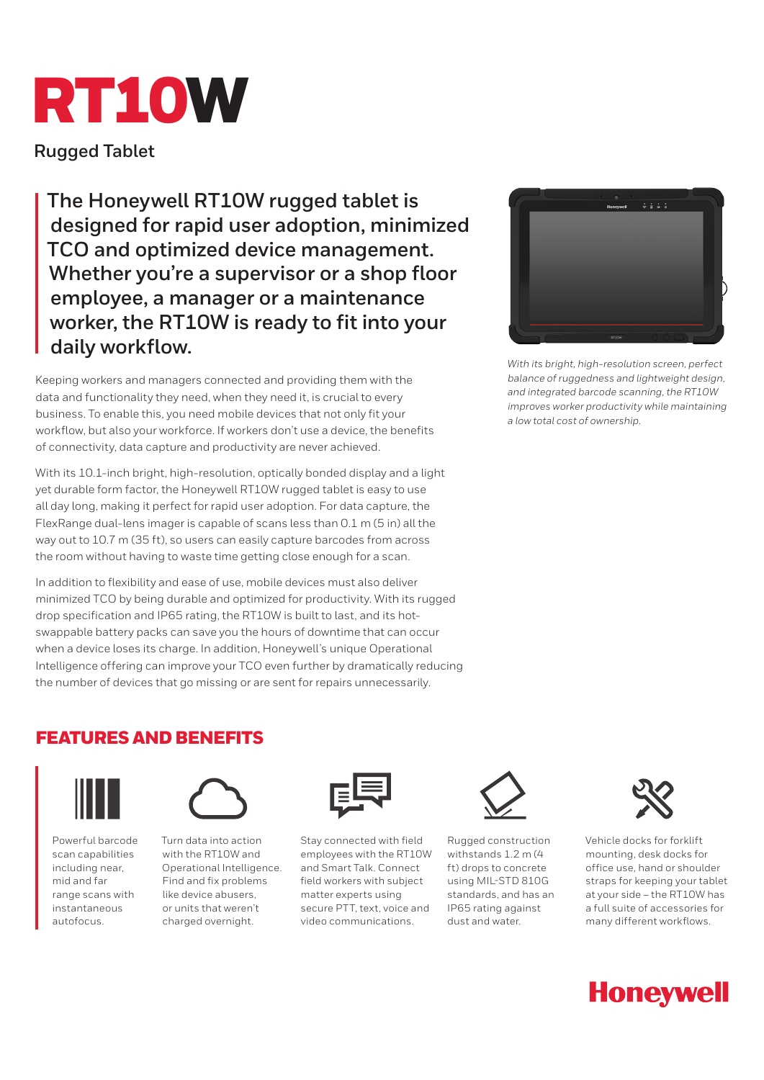

**Rugged Tablet**

**The Honeywell RT10W rugged tablet is designed for rapid user adoption, minimized TCO and optimized device management. Whether you're a supervisor or a shop floor employee, a manager or a maintenance worker, the RT10W is ready to fit into your daily workflow.**

Keeping workers and managers connected and providing them with the data and functionality they need, when they need it, is crucial to every business. To enable this, you need mobile devices that not only fit your workflow, but also your workforce. If workers don't use a device, the benefits of connectivity, data capture and productivity are never achieved.

With its 10.1-inch bright, high-resolution, optically bonded display and a light yet durable form factor, the Honeywell RT10W rugged tablet is easy to use all day long, making it perfect for rapid user adoption. For data capture, the FlexRange dual-lens imager is capable of scans less than 0.1 m (5 in) all the way out to 10.7 m (35 ft), so users can easily capture barcodes from across the room without having to waste time getting close enough for a scan.

In addition to flexibility and ease of use, mobile devices must also deliver minimized TCO by being durable and optimized for productivity. With its rugged drop specification and IP65 rating, the RT10W is built to last, and its hotswappable battery packs can save you the hours of downtime that can occur when a device loses its charge. In addition, Honeywell's unique Operational Intelligence offering can improve your TCO even further by dramatically reducing the number of devices that go missing or are sent for repairs unnecessarily.



*With its bright, high-resolution screen, perfect balance of ruggedness and lightweight design, and integrated barcode scanning, the RT10W improves worker productivity while maintaining a low total cost of ownership.*

# FEATURES AND BENEFITS



Powerful barcode scan capabilities including near, mid and far range scans with instantaneous autofocus.



Turn data into action with the RT10W and Operational Intelligence. Find and fix problems like device abusers, or units that weren't charged overnight.



Stay connected with field employees with the RT10W and Smart Talk. Connect field workers with subject matter experts using secure PTT, text, voice and video communications.



Rugged construction withstands 1.2 m (4 ft) drops to concrete using MIL-STD 810G standards, and has an IP65 rating against dust and water.



Vehicle docks for forklift mounting, desk docks for office use, hand or shoulder straps for keeping your tablet at your side – the RT10W has a full suite of accessories for many different workflows.